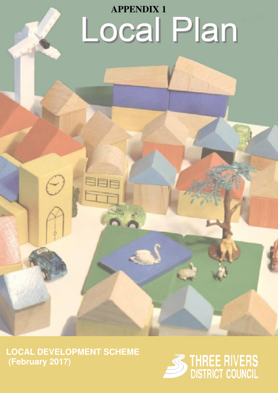## **APPENDIX 1** Local Plan

 **LOCAL DEVELOPMENT SCHEME (February 2017)** 

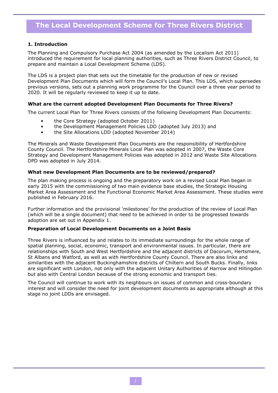### The Local Development Scheme for Three Rivers District

#### 1. Introduction

The Planning and Compulsory Purchase Act 2004 (as amended by the Localism Act 2011) introduced the requirement for local planning authorities, such as Three Rivers District Council, to prepare and maintain a Local Development Scheme (LDS).

The LDS is a project plan that sets out the timetable for the production of new or revised Development Plan Documents which will form the Council's Local Plan. This LDS, which supersedes previous versions, sets out a planning work programme for the Council over a three year period to 2020. It will be regularly reviewed to keep it up to date.

#### What are the current adopted Development Plan Documents for Three Rivers?

The current Local Plan for Three Rivers consists of the following Development Plan Documents:

- the Core Strategy (adopted October 2011)
- the Development Management Policies LDD (adopted July 2013) and
- the Site Allocations LDD (adopted November 2014)

The Minerals and Waste Development Plan Documents are the responsibility of Hertfordshire County Council. The Hertfordshire Minerals Local Plan was adopted in 2007, the Waste Core Strategy and Development Management Policies was adopted in 2012 and Waste Site Allocations DPD was adopted in July 2014.

#### What new Development Plan Documents are to be reviewed/prepared?

The plan making process is ongoing and the preparatory work on a revised Local Plan began in early 2015 with the commissioning of two main evidence base studies, the Strategic Housing Market Area Assessment and the Functional Economic Market Area Assessment. These studies were published in February 2016.

Further information and the provisional 'milestones' for the production of the review of Local Plan (which will be a single document) that need to be achieved in order to be progressed towards adoption are set out in Appendix 1.

#### Preparation of Local Development Documents on a Joint Basis

Three Rivers is influenced by and relates to its immediate surroundings for the whole range of spatial planning, social, economic, transport and environmental issues. In particular, there are relationships with South and West Hertfordshire and the adjacent districts of Dacorum, Hertsmere, St Albans and Watford, as well as with Hertfordshire County Council. There are also links and similarities with the adjacent Buckinghamshire districts of Chiltern and South Bucks. Finally, links are significant with London, not only with the adjacent Unitary Authorities of Harrow and Hillingdon but also with Central London because of the strong economic and transport ties.

The Council will continue to work with its neighbours on issues of common and cross-boundary interest and will consider the need for joint development documents as appropriate although at this stage no joint LDDs are envisaged.